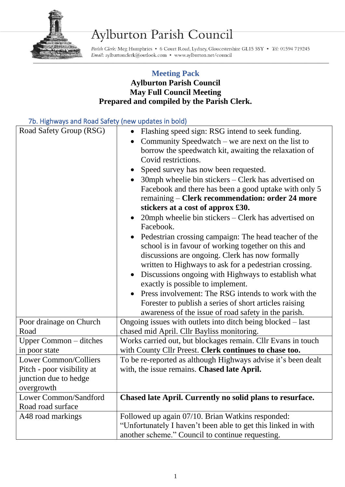

## Aylburton Parish Council

Parish Clerk: Meg Humphries • 6 Court Road, Lydney, Gloucestershire GL15 5SY • Tel: 01594 719245 Email: aylburtonclerk@outlook.com • www.aylburton.net/council

## **Meeting Pack Aylburton Parish Council May Full Council Meeting Prepared and compiled by the Parish Clerk.**

| 7b. Highways and Road Safety (new updates in bold)                                                |                                                                                                                                                                                                                                                                                                                                                                                                                                                                                                                                                                                                                                                                                                                                                                                                                                                                                                                                                                                                          |
|---------------------------------------------------------------------------------------------------|----------------------------------------------------------------------------------------------------------------------------------------------------------------------------------------------------------------------------------------------------------------------------------------------------------------------------------------------------------------------------------------------------------------------------------------------------------------------------------------------------------------------------------------------------------------------------------------------------------------------------------------------------------------------------------------------------------------------------------------------------------------------------------------------------------------------------------------------------------------------------------------------------------------------------------------------------------------------------------------------------------|
| Road Safety Group (RSG)                                                                           | Flashing speed sign: RSG intend to seek funding.<br>Community Speedwatch – we are next on the list to<br>$\bullet$<br>borrow the speedwatch kit, awaiting the relaxation of<br>Covid restrictions.<br>Speed survey has now been requested.<br>30mph wheelie bin stickers – Clerk has advertised on<br>$\bullet$<br>Facebook and there has been a good uptake with only 5<br>remaining – Clerk recommendation: order 24 more<br>stickers at a cost of approx £30.<br>20mph wheelie bin stickers – Clerk has advertised on<br>$\bullet$<br>Facebook.<br>Pedestrian crossing campaign: The head teacher of the<br>school is in favour of working together on this and<br>discussions are ongoing. Clerk has now formally<br>written to Highways to ask for a pedestrian crossing.<br>Discussions ongoing with Highways to establish what<br>exactly is possible to implement.<br>Press involvement: The RSG intends to work with the<br>$\bullet$<br>Forester to publish a series of short articles raising |
| Poor drainage on Church                                                                           | awareness of the issue of road safety in the parish.<br>Ongoing issues with outlets into ditch being blocked $-$ last                                                                                                                                                                                                                                                                                                                                                                                                                                                                                                                                                                                                                                                                                                                                                                                                                                                                                    |
| Road                                                                                              | chased mid April. Cllr Bayliss monitoring.                                                                                                                                                                                                                                                                                                                                                                                                                                                                                                                                                                                                                                                                                                                                                                                                                                                                                                                                                               |
| Upper Common – ditches<br>in poor state                                                           | Works carried out, but blockages remain. Cllr Evans in touch<br>with County Cllr Preest. Clerk continues to chase too.                                                                                                                                                                                                                                                                                                                                                                                                                                                                                                                                                                                                                                                                                                                                                                                                                                                                                   |
| <b>Lower Common/Colliers</b><br>Pitch - poor visibility at<br>junction due to hedge<br>overgrowth | To be re-reported as although Highways advise it's been dealt<br>with, the issue remains. Chased late April.                                                                                                                                                                                                                                                                                                                                                                                                                                                                                                                                                                                                                                                                                                                                                                                                                                                                                             |
| Lower Common/Sandford<br>Road road surface                                                        | Chased late April. Currently no solid plans to resurface.                                                                                                                                                                                                                                                                                                                                                                                                                                                                                                                                                                                                                                                                                                                                                                                                                                                                                                                                                |
| A48 road markings                                                                                 | Followed up again 07/10. Brian Watkins responded:<br>"Unfortunately I haven't been able to get this linked in with<br>another scheme." Council to continue requesting.                                                                                                                                                                                                                                                                                                                                                                                                                                                                                                                                                                                                                                                                                                                                                                                                                                   |